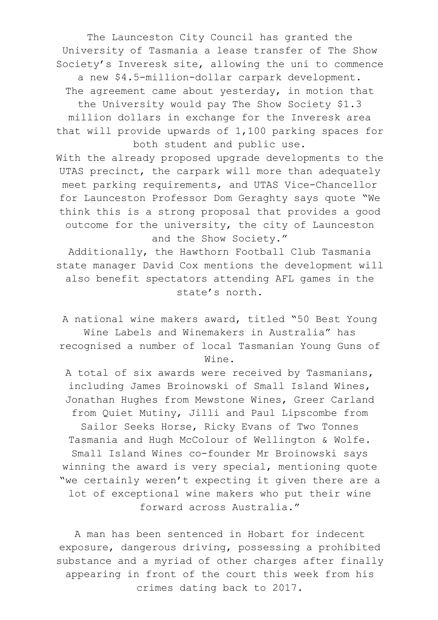The Launceston City Council has granted the University of Tasmania a lease transfer of The Show Society's Inveresk site, allowing the uni to commence a new \$4.5-million-dollar carpark development. The agreement came about yesterday, in motion that the University would pay The Show Society \$1.3 million dollars in exchange for the Inveresk area

that will provide upwards of 1,100 parking spaces for both student and public use.

With the already proposed upgrade developments to the UTAS precinct, the carpark will more than adequately meet parking requirements, and UTAS Vice-Chancellor for Launceston Professor Dom Geraghty says quote "We think this is a strong proposal that provides a good outcome for the university, the city of Launceston and the Show Society."

Additionally, the Hawthorn Football Club Tasmania state manager David Cox mentions the development will also benefit spectators attending AFL games in the state's north.

A national wine makers award, titled "50 Best Young Wine Labels and Winemakers in Australia" has recognised a number of local Tasmanian Young Guns of Wine.

A total of six awards were received by Tasmanians, including James Broinowski of Small Island Wines, Jonathan Hughes from Mewstone Wines, Greer Carland from Quiet Mutiny, Jilli and Paul Lipscombe from Sailor Seeks Horse, Ricky Evans of Two Tonnes Tasmania and Hugh McColour of Wellington & Wolfe. Small Island Wines co-founder Mr Broinowski says winning the award is very special, mentioning quote "we certainly weren't expecting it given there are a lot of exceptional wine makers who put their wine forward across Australia."

A man has been sentenced in Hobart for indecent exposure, dangerous driving, possessing a prohibited substance and a myriad of other charges after finally appearing in front of the court this week from his crimes dating back to 2017.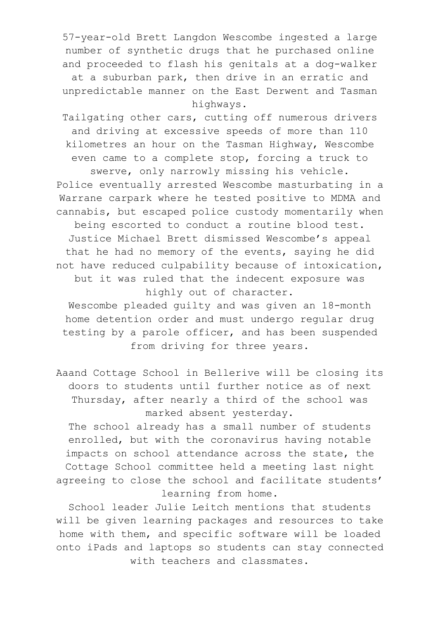57-year-old Brett Langdon Wescombe ingested a large number of synthetic drugs that he purchased online and proceeded to flash his genitals at a dog-walker

at a suburban park, then drive in an erratic and unpredictable manner on the East Derwent and Tasman highways.

Tailgating other cars, cutting off numerous drivers and driving at excessive speeds of more than 110 kilometres an hour on the Tasman Highway, Wescombe even came to a complete stop, forcing a truck to swerve, only narrowly missing his vehicle. Police eventually arrested Wescombe masturbating in a Warrane carpark where he tested positive to MDMA and cannabis, but escaped police custody momentarily when being escorted to conduct a routine blood test. Justice Michael Brett dismissed Wescombe's appeal that he had no memory of the events, saying he did not have reduced culpability because of intoxication, but it was ruled that the indecent exposure was highly out of character.

Wescombe pleaded guilty and was given an 18-month home detention order and must undergo regular drug testing by a parole officer, and has been suspended from driving for three years.

Aaand Cottage School in Bellerive will be closing its doors to students until further notice as of next Thursday, after nearly a third of the school was marked absent yesterday. The school already has a small number of students

enrolled, but with the coronavirus having notable impacts on school attendance across the state, the Cottage School committee held a meeting last night agreeing to close the school and facilitate students' learning from home.

School leader Julie Leitch mentions that students will be given learning packages and resources to take home with them, and specific software will be loaded onto iPads and laptops so students can stay connected with teachers and classmates.